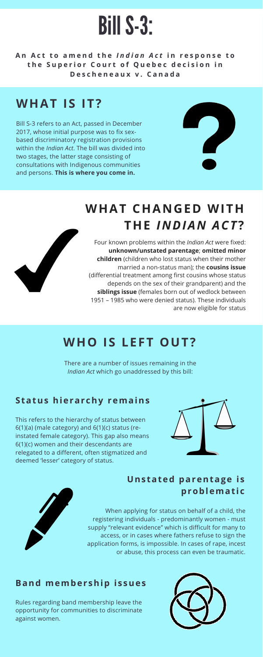# BillS-3:

An Act to amend the Indian Act in response to the Superior Court of Quebec decision in **D e s c h e n e a u x v . C a n a d a**

## **WHAT IS IT?**

Bill S-3 refers to an Act, passed in December 2017, whose initial purpose was to fix sexbased discriminatory registration provisions within the *Indian Act*. The bill was divided into two stages, the latter stage consisting of consultations with Indigenous communities and persons. **This is where you come in.**



## **WHO IS LEFT OUT?**

There are a number of issues remaining in the *Indian Act* which go unaddressed by this bill:

#### **Status hierar chy remains**

This refers to the hierarchy of status between 6(1)(a) (male category) and 6(1)(c) status (reinstated female category). This gap also means 6(1)(c) women and their descendants are relegated to a different, often stigmatized and deemed 'lesser' category of status.



#### **Band member ship i s sues**

Rules regarding band membership leave the opportunity for communities to discriminate against women.



#### **Uns tated parentage i s problemat i c**

. Four known problems within the *Indian Act* were fixed: **unknown/unstated parentage**; **omitted minor children** (children who lost status when their mother married a non-status man); the **cousins issue** (differential treatment among first cousins whose status depends on the sex of their grandparent) and the **siblings issue** (females born out of wedlock between 1951 – 1985 who were denied status). These individuals are now eligible for status

When applying for status on behalf of a child, the registering individuals - predominantly women - must supply "relevant evidence" which is difficult for many to access, or in cases where fathers refuse to sign the application forms, is impossible. In cases of rape, incest or abuse, this process can even be traumatic.

## **WHAT CHANGED WITH THE** *INDIAN ACT***?**